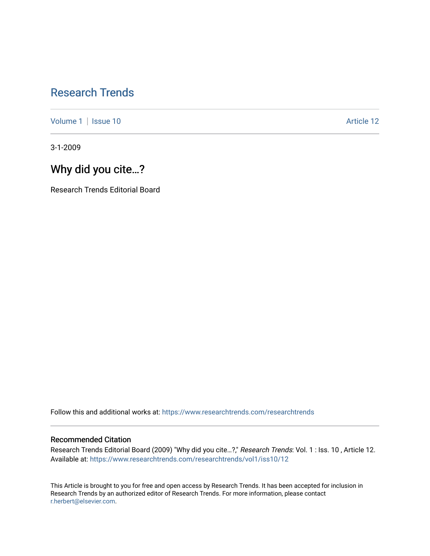# [Research Trends](https://www.researchtrends.com/researchtrends)

[Volume 1](https://www.researchtrends.com/researchtrends/vol1) | [Issue 10](https://www.researchtrends.com/researchtrends/vol1/iss10) Article 12

3-1-2009

# Why did you cite…?

Research Trends Editorial Board

Follow this and additional works at: [https://www.researchtrends.com/researchtrends](https://www.researchtrends.com/researchtrends?utm_source=www.researchtrends.com%2Fresearchtrends%2Fvol1%2Fiss10%2F12&utm_medium=PDF&utm_campaign=PDFCoverPages) 

## Recommended Citation

Research Trends Editorial Board (2009) "Why did you cite…?," Research Trends: Vol. 1 : Iss. 10 , Article 12. Available at: [https://www.researchtrends.com/researchtrends/vol1/iss10/12](https://www.researchtrends.com/researchtrends/vol1/iss10/12?utm_source=www.researchtrends.com%2Fresearchtrends%2Fvol1%2Fiss10%2F12&utm_medium=PDF&utm_campaign=PDFCoverPages) 

This Article is brought to you for free and open access by Research Trends. It has been accepted for inclusion in Research Trends by an authorized editor of Research Trends. For more information, please contact [r.herbert@elsevier.com.](mailto:r.herbert@elsevier.com)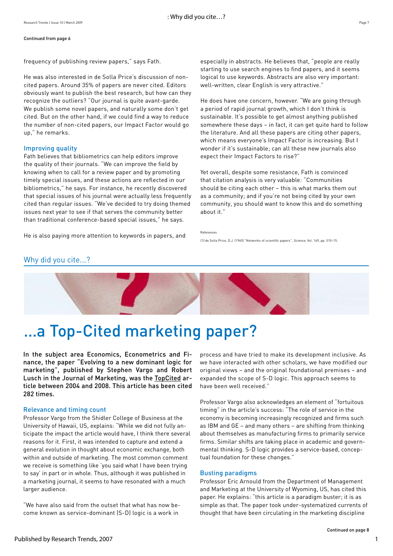#### Continued from page 6

frequency of publishing review papers," says Fath.

He was also interested in de Solla Price's discussion of noncited papers. Around 35% of papers are never cited. Editors obviously want to publish the best research, but how can they recognize the outliers? "Our journal is quite avant-garde. We publish some novel papers, and naturally some don't get cited. But on the other hand, if we could find a way to reduce the number of non-cited papers, our Impact Factor would go up," he remarks.

### Improving quality

Fath believes that bibliometrics can help editors improve the quality of their journals. "We can improve the field by knowing when to call for a review paper and by promoting timely special issues, and these actions are reflected in our bibliometrics," he says. For instance, he recently discovered that special issues of his journal were actually less frequently cited than regular issues. "We've decided to try doing themed issues next year to see if that serves the community better than traditional conference-based special issues," he says.

He is also paying more attention to keywords in papers, and

especially in abstracts. He believes that, "people are really starting to use search engines to find papers, and it seems logical to use keywords. Abstracts are also very important: well-written, clear English is very attractive."

He does have one concern, however. "We are going through a period of rapid journal growth, which I don't think is sustainable. It's possible to get almost anything published somewhere these days – in fact, it can get quite hard to follow the literature. And all these papers are citing other papers, which means everyone's Impact Factor is increasing. But I wonder if it's sustainable; can all these new journals also expect their Impact Factors to rise?"

Yet overall, despite some resistance, Fath is convinced that citation analysis is very valuable: "Communities should be citing each other – this is what marks them out as a community; and if you're not being cited by your own community, you should want to know this and do something about it."

(1) de Solla Price, D.J. (1965) "Networks of scientific papers", Science, Vol. 149, pp. 510–15.

## Why did you cite...?



# …a Top-Cited marketing paper?

In the subject area Economics, Econometrics and Finance, the paper "Evolving to a new dominant logic for marketing", published by Stephen Vargo and Robert Lusch in the Journal of Marketing, was the [TopCited](http://www.topcited.com/) article between 2004 and 2008. This article has been cited 282 times.

### Relevance and timing count

Professor Vargo from the Shidler College of Business at the University of Hawaii, US, explains: "While we did not fully anticipate the impact the article would have, I think there several reasons for it. First, it was intended to capture and extend a general evolution in thought about economic exchange, both within and outside of marketing. The most common comment we receive is something like 'you said what I have been trying to say' in part or in whole. Thus, although it was published in a marketing journal, it seems to have resonated with a much larger audience.

"We have also said from the outset that what has now become known as service-dominant (S-D) logic is a work in

process and have tried to make its development inclusive. As we have interacted with other scholars, we have modified our original views – and the original foundational premises – and expanded the scope of S-D logic. This approach seems to have been well received."

Professor Vargo also acknowledges an element of "fortuitous timing" in the article's success: "The role of service in the economy is becoming increasingly recognized and firms such as IBM and GE – and many others – are shifting from thinking about themselves as manufacturing firms to primarily service firms. Similar shifts are taking place in academic and governmental thinking. S-D logic provides a service-based, conceptual foundation for these changes."

### Busting paradigms

Professor Eric Arnould from the Department of Management and Marketing at the University of Wyoming, US, has cited this paper. He explains: "this article is a paradigm buster; it is as simple as that. The paper took under-systematized currents of thought that have been circulating in the marketing discipline

References